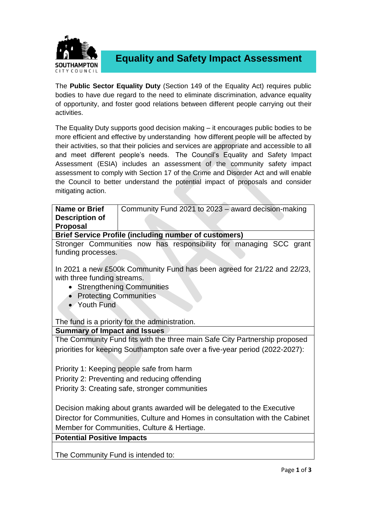

**Equality and Safety Impact Assessment**

The **Public Sector Equality Duty** (Section 149 of the Equality Act) requires public bodies to have due regard to the need to eliminate discrimination, advance equality of opportunity, and foster good relations between different people carrying out their activities.

The Equality Duty supports good decision making – it encourages public bodies to be more efficient and effective by understanding how different people will be affected by their activities, so that their policies and services are appropriate and accessible to all and meet different people's needs. The Council's Equality and Safety Impact Assessment (ESIA) includes an assessment of the community safety impact assessment to comply with Section 17 of the Crime and Disorder Act and will enable the Council to better understand the potential impact of proposals and consider mitigating action.

| Name or Brief                                                                | Community Fund 2021 to 2023 - award decision-making                          |  |  |  |
|------------------------------------------------------------------------------|------------------------------------------------------------------------------|--|--|--|
| <b>Description of</b>                                                        |                                                                              |  |  |  |
| Proposal                                                                     |                                                                              |  |  |  |
|                                                                              | <b>Brief Service Profile (including number of customers)</b>                 |  |  |  |
| Stronger Communities now has responsibility for managing SCC grant           |                                                                              |  |  |  |
| funding processes.                                                           |                                                                              |  |  |  |
|                                                                              |                                                                              |  |  |  |
| In 2021 a new £500k Community Fund has been agreed for 21/22 and 22/23,      |                                                                              |  |  |  |
| with three funding streams.                                                  |                                                                              |  |  |  |
| • Strengthening Communities                                                  |                                                                              |  |  |  |
| • Protecting Communities                                                     |                                                                              |  |  |  |
| • Youth Fund                                                                 |                                                                              |  |  |  |
|                                                                              |                                                                              |  |  |  |
|                                                                              | The fund is a priority for the administration.                               |  |  |  |
| <b>Summary of Impact and Issues</b>                                          |                                                                              |  |  |  |
| The Community Fund fits with the three main Safe City Partnership proposed   |                                                                              |  |  |  |
|                                                                              | priorities for keeping Southampton safe over a five-year period (2022-2027): |  |  |  |
|                                                                              |                                                                              |  |  |  |
| Priority 1: Keeping people safe from harm                                    |                                                                              |  |  |  |
| Priority 2: Preventing and reducing offending                                |                                                                              |  |  |  |
| Priority 3: Creating safe, stronger communities                              |                                                                              |  |  |  |
|                                                                              |                                                                              |  |  |  |
| Decision making about grants awarded will be delegated to the Executive      |                                                                              |  |  |  |
| Director for Communities, Culture and Homes in consultation with the Cabinet |                                                                              |  |  |  |
| Member for Communities, Culture & Hertiage.                                  |                                                                              |  |  |  |
| <b>Potential Positive Impacts</b>                                            |                                                                              |  |  |  |
|                                                                              |                                                                              |  |  |  |
|                                                                              |                                                                              |  |  |  |

The Community Fund is intended to: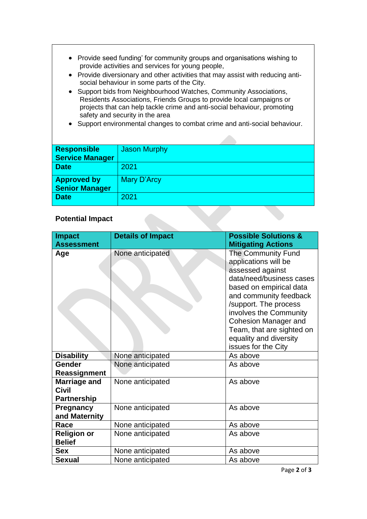- Provide seed funding' for community groups and organisations wishing to provide activities and services for young people,
- Provide diversionary and other activities that may assist with reducing antisocial behaviour in some parts of the City.
- Support bids from Neighbourhood Watches, Community Associations, Residents Associations, Friends Groups to provide local campaigns or projects that can help tackle crime and anti-social behaviour, promoting safety and security in the area
- Support environmental changes to combat crime and anti-social behaviour.

| <b>Responsible</b><br><b>Service Manager</b> | <b>Jason Murphy</b> |
|----------------------------------------------|---------------------|
| <b>Date</b>                                  | 2021                |
| <b>Approved by</b><br><b>Senior Manager</b>  | <b>Mary D'Arcy</b>  |
| <b>Date</b>                                  | 2021                |

## **Potential Impact**

| <b>Impact</b><br><b>Assessment</b>                        | <b>Details of Impact</b> | <b>Possible Solutions &amp;</b><br><b>Mitigating Actions</b>                                                                                                                                                                                                                                                           |
|-----------------------------------------------------------|--------------------------|------------------------------------------------------------------------------------------------------------------------------------------------------------------------------------------------------------------------------------------------------------------------------------------------------------------------|
| Age                                                       | None anticipated         | <b>The Community Fund</b><br>applications will be<br>assessed against<br>data/need/business cases<br>based on empirical data<br>and community feedback<br>/support. The process<br>involves the Community<br><b>Cohesion Manager and</b><br>Team, that are sighted on<br>equality and diversity<br>issues for the City |
| <b>Disability</b>                                         | None anticipated         | As above                                                                                                                                                                                                                                                                                                               |
| Gender                                                    | None anticipated         | As above                                                                                                                                                                                                                                                                                                               |
| Reassignment                                              |                          |                                                                                                                                                                                                                                                                                                                        |
| <b>Marriage and</b><br><b>Civil</b><br><b>Partnership</b> | None anticipated         | As above                                                                                                                                                                                                                                                                                                               |
| Pregnancy<br>and Maternity                                | None anticipated         | As above                                                                                                                                                                                                                                                                                                               |
| Race                                                      | None anticipated         | As above                                                                                                                                                                                                                                                                                                               |
| <b>Religion or</b><br><b>Belief</b>                       | None anticipated         | As above                                                                                                                                                                                                                                                                                                               |
| <b>Sex</b>                                                | None anticipated         | As above                                                                                                                                                                                                                                                                                                               |
| <b>Sexual</b>                                             | None anticipated         | As above                                                                                                                                                                                                                                                                                                               |